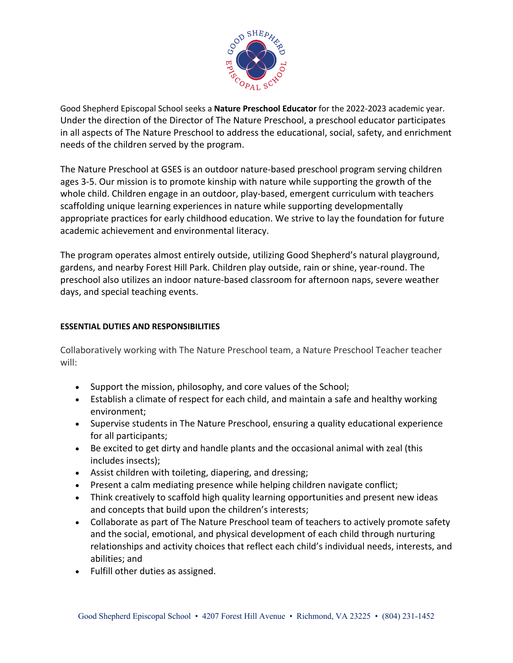

Good Shepherd Episcopal School seeks a **Nature Preschool Educator** for the 2022-2023 academic year. Under the direction of the Director of The Nature Preschool, a preschool educator participates in all aspects of The Nature Preschool to address the educational, social, safety, and enrichment needs of the children served by the program.

The Nature Preschool at GSES is an outdoor nature-based preschool program serving children ages 3-5. Our mission is to promote kinship with nature while supporting the growth of the whole child. Children engage in an outdoor, play-based, emergent curriculum with teachers scaffolding unique learning experiences in nature while supporting developmentally appropriate practices for early childhood education. We strive to lay the foundation for future academic achievement and environmental literacy.

The program operates almost entirely outside, utilizing Good Shepherd's natural playground, gardens, and nearby Forest Hill Park. Children play outside, rain or shine, year-round. The preschool also utilizes an indoor nature-based classroom for afternoon naps, severe weather days, and special teaching events.

## **ESSENTIAL DUTIES AND RESPONSIBILITIES**

Collaboratively working with The Nature Preschool team, a Nature Preschool Teacher teacher will:

- Support the mission, philosophy, and core values of the School;
- Establish a climate of respect for each child, and maintain a safe and healthy working environment;
- Supervise students in The Nature Preschool, ensuring a quality educational experience for all participants;
- Be excited to get dirty and handle plants and the occasional animal with zeal (this includes insects);
- Assist children with toileting, diapering, and dressing;
- Present a calm mediating presence while helping children navigate conflict;
- Think creatively to scaffold high quality learning opportunities and present new ideas and concepts that build upon the children's interests;
- Collaborate as part of The Nature Preschool team of teachers to actively promote safety and the social, emotional, and physical development of each child through nurturing relationships and activity choices that reflect each child's individual needs, interests, and abilities; and
- Fulfill other duties as assigned.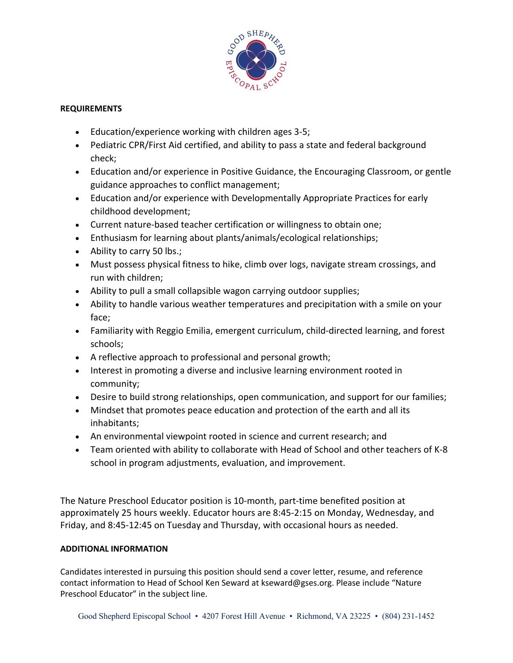

## **REQUIREMENTS**

- Education/experience working with children ages 3-5;
- Pediatric CPR/First Aid certified, and ability to pass a state and federal background check;
- Education and/or experience in Positive Guidance, the Encouraging Classroom, or gentle guidance approaches to conflict management;
- Education and/or experience with Developmentally Appropriate Practices for early childhood development;
- Current nature-based teacher certification or willingness to obtain one;
- Enthusiasm for learning about plants/animals/ecological relationships;
- Ability to carry 50 lbs.;
- Must possess physical fitness to hike, climb over logs, navigate stream crossings, and run with children;
- Ability to pull a small collapsible wagon carrying outdoor supplies;
- Ability to handle various weather temperatures and precipitation with a smile on your face;
- Familiarity with Reggio Emilia, emergent curriculum, child-directed learning, and forest schools;
- A reflective approach to professional and personal growth;
- Interest in promoting a diverse and inclusive learning environment rooted in community;
- Desire to build strong relationships, open communication, and support for our families;
- Mindset that promotes peace education and protection of the earth and all its inhabitants;
- An environmental viewpoint rooted in science and current research; and
- Team oriented with ability to collaborate with Head of School and other teachers of K-8 school in program adjustments, evaluation, and improvement.

The Nature Preschool Educator position is 10-month, part-time benefited position at approximately 25 hours weekly. Educator hours are 8:45-2:15 on Monday, Wednesday, and Friday, and 8:45-12:45 on Tuesday and Thursday, with occasional hours as needed.

## **ADDITIONAL INFORMATION**

Candidates interested in pursuing this position should send a cover letter, resume, and reference contact information to Head of School Ken Seward at kseward@gses.org. Please include "Nature Preschool Educator" in the subject line.